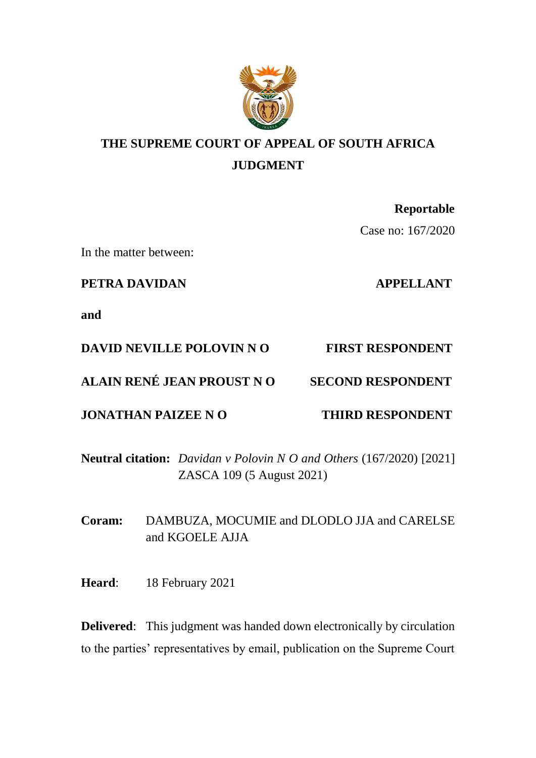

# **THE SUPREME COURT OF APPEAL OF SOUTH AFRICA JUDGMENT**

## **Reportable**

Case no: 167/2020

In the matter between:

**PETRA DAVIDAN APPELLANT** 

**and**

## **DAVID NEVILLE POLOVIN N O FIRST RESPONDENT**

## **ALAIN RENÉ JEAN PROUST N O SECOND RESPONDENT**

## **JONATHAN PAIZEE N O THIRD RESPONDENT**

**Neutral citation:** *Davidan v Polovin N O and Others* (167/2020) [2021] ZASCA 109 (5 August 2021)

**Coram:** DAMBUZA, MOCUMIE and DLODLO JJA and CARELSE and KGOELE AJJA

**Heard**: 18 February 2021

**Delivered:** This judgment was handed down electronically by circulation to the parties' representatives by email, publication on the Supreme Court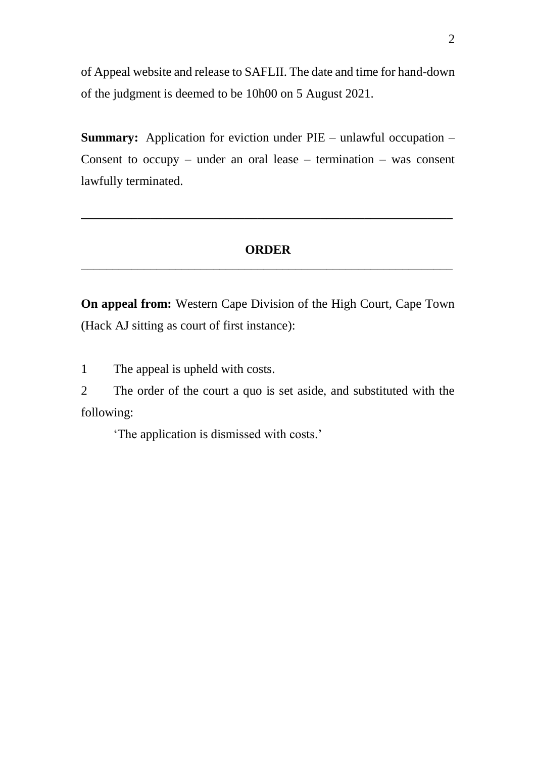of Appeal website and release to SAFLII. The date and time for hand-down of the judgment is deemed to be 10h00 on 5 August 2021.

**Summary:** Application for eviction under PIE – unlawful occupation – Consent to occupy – under an oral lease – termination – was consent lawfully terminated.

### **ORDER** \_\_\_\_\_\_\_\_\_\_\_\_\_\_\_\_\_\_\_\_\_\_\_\_\_\_\_\_\_\_\_\_\_\_\_\_\_\_\_\_\_\_\_\_\_\_\_\_\_\_\_\_\_\_\_\_\_\_\_

**\_\_\_\_\_\_\_\_\_\_\_\_\_\_\_\_\_\_\_\_\_\_\_\_\_\_\_\_\_\_\_\_\_\_\_\_\_\_\_\_\_\_\_\_\_\_\_\_\_\_\_\_\_\_\_\_\_\_\_**

**On appeal from:** Western Cape Division of the High Court, Cape Town (Hack AJ sitting as court of first instance):

1 The appeal is upheld with costs.

2 The order of the court a quo is set aside, and substituted with the following:

'The application is dismissed with costs.'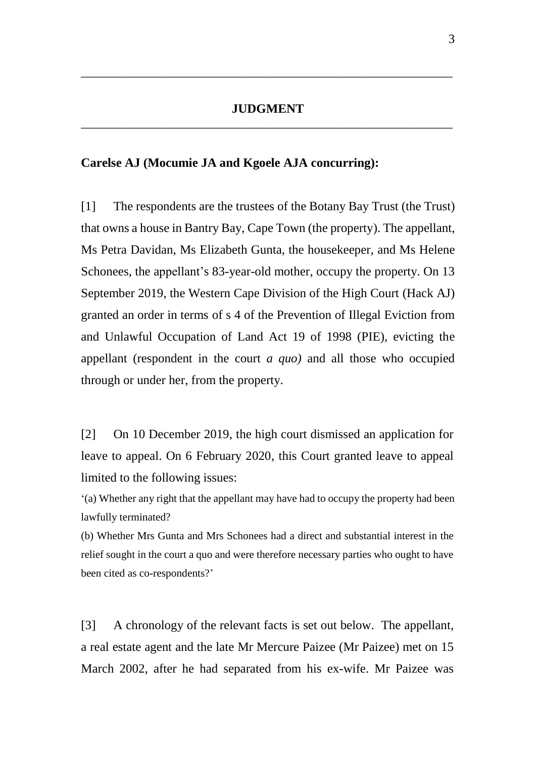\_\_\_\_\_\_\_\_\_\_\_\_\_\_\_\_\_\_\_\_\_\_\_\_\_\_\_\_\_\_\_\_\_\_\_\_\_\_\_\_\_\_\_\_\_\_\_\_\_\_\_\_\_\_\_\_\_\_\_

#### **Carelse AJ (Mocumie JA and Kgoele AJA concurring):**

[1] The respondents are the trustees of the Botany Bay Trust (the Trust) that owns a house in Bantry Bay, Cape Town (the property). The appellant, Ms Petra Davidan, Ms Elizabeth Gunta, the housekeeper, and Ms Helene Schonees, the appellant's 83-year-old mother, occupy the property. On 13 September 2019, the Western Cape Division of the High Court (Hack AJ) granted an order in terms of s 4 of the Prevention of Illegal Eviction from and Unlawful Occupation of Land Act 19 of 1998 (PIE), evicting the appellant (respondent in the court *a quo)* and all those who occupied through or under her, from the property.

[2] On 10 December 2019, the high court dismissed an application for leave to appeal. On 6 February 2020, this Court granted leave to appeal limited to the following issues:

'(a) Whether any right that the appellant may have had to occupy the property had been lawfully terminated?

(b) Whether Mrs Gunta and Mrs Schonees had a direct and substantial interest in the relief sought in the court a quo and were therefore necessary parties who ought to have been cited as co-respondents?'

[3] A chronology of the relevant facts is set out below. The appellant, a real estate agent and the late Mr Mercure Paizee (Mr Paizee) met on 15 March 2002, after he had separated from his ex-wife. Mr Paizee was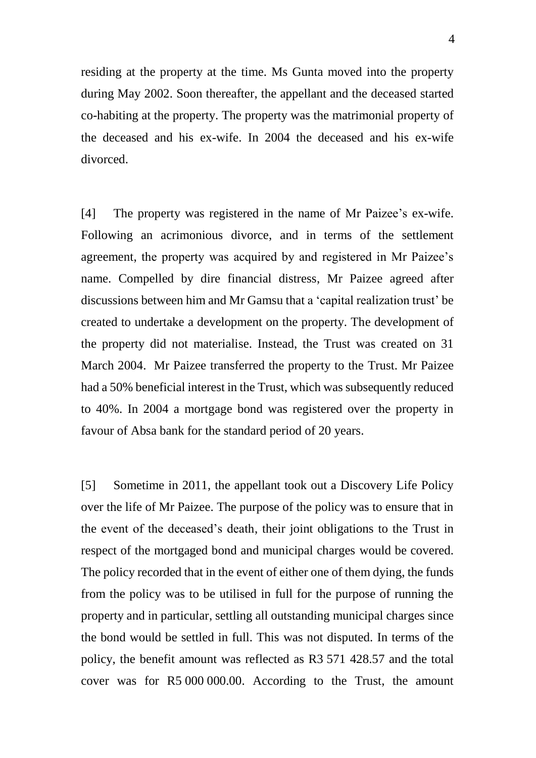residing at the property at the time. Ms Gunta moved into the property during May 2002. Soon thereafter, the appellant and the deceased started co-habiting at the property. The property was the matrimonial property of the deceased and his ex-wife. In 2004 the deceased and his ex-wife divorced.

[4] The property was registered in the name of Mr Paizee's ex-wife. Following an acrimonious divorce, and in terms of the settlement agreement, the property was acquired by and registered in Mr Paizee's name. Compelled by dire financial distress, Mr Paizee agreed after discussions between him and Mr Gamsu that a 'capital realization trust' be created to undertake a development on the property. The development of the property did not materialise. Instead, the Trust was created on 31 March 2004. Mr Paizee transferred the property to the Trust. Mr Paizee had a 50% beneficial interest in the Trust, which was subsequently reduced to 40%. In 2004 a mortgage bond was registered over the property in favour of Absa bank for the standard period of 20 years.

[5] Sometime in 2011, the appellant took out a Discovery Life Policy over the life of Mr Paizee. The purpose of the policy was to ensure that in the event of the deceased's death, their joint obligations to the Trust in respect of the mortgaged bond and municipal charges would be covered. The policy recorded that in the event of either one of them dying, the funds from the policy was to be utilised in full for the purpose of running the property and in particular, settling all outstanding municipal charges since the bond would be settled in full. This was not disputed. In terms of the policy, the benefit amount was reflected as R3 571 428.57 and the total cover was for R5 000 000.00. According to the Trust, the amount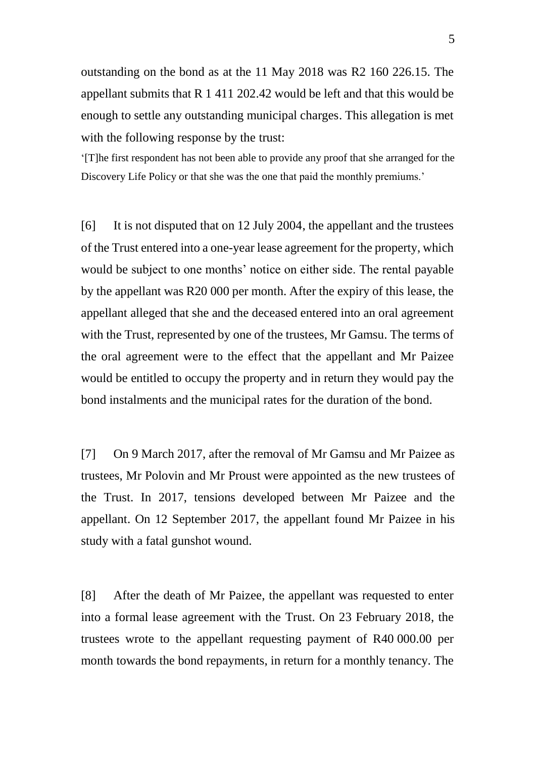outstanding on the bond as at the 11 May 2018 was R2 160 226.15. The appellant submits that R 1 411 202.42 would be left and that this would be enough to settle any outstanding municipal charges. This allegation is met with the following response by the trust:

'[T]he first respondent has not been able to provide any proof that she arranged for the Discovery Life Policy or that she was the one that paid the monthly premiums.'

[6] It is not disputed that on 12 July 2004, the appellant and the trustees of the Trust entered into a one-year lease agreement for the property, which would be subject to one months' notice on either side. The rental payable by the appellant was R20 000 per month. After the expiry of this lease, the appellant alleged that she and the deceased entered into an oral agreement with the Trust, represented by one of the trustees, Mr Gamsu. The terms of the oral agreement were to the effect that the appellant and Mr Paizee would be entitled to occupy the property and in return they would pay the bond instalments and the municipal rates for the duration of the bond.

[7] On 9 March 2017, after the removal of Mr Gamsu and Mr Paizee as trustees, Mr Polovin and Mr Proust were appointed as the new trustees of the Trust. In 2017, tensions developed between Mr Paizee and the appellant. On 12 September 2017, the appellant found Mr Paizee in his study with a fatal gunshot wound.

[8] After the death of Mr Paizee, the appellant was requested to enter into a formal lease agreement with the Trust. On 23 February 2018, the trustees wrote to the appellant requesting payment of R40 000.00 per month towards the bond repayments, in return for a monthly tenancy. The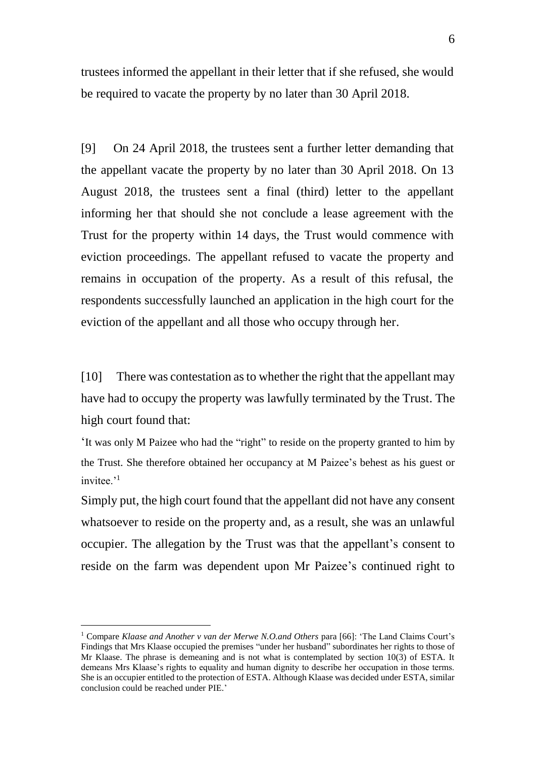trustees informed the appellant in their letter that if she refused, she would be required to vacate the property by no later than 30 April 2018.

[9] On 24 April 2018, the trustees sent a further letter demanding that the appellant vacate the property by no later than 30 April 2018. On 13 August 2018, the trustees sent a final (third) letter to the appellant informing her that should she not conclude a lease agreement with the Trust for the property within 14 days, the Trust would commence with eviction proceedings. The appellant refused to vacate the property and remains in occupation of the property. As a result of this refusal, the respondents successfully launched an application in the high court for the eviction of the appellant and all those who occupy through her.

[10] There was contestation as to whether the right that the appellant may have had to occupy the property was lawfully terminated by the Trust. The high court found that:

'It was only M Paizee who had the "right" to reside on the property granted to him by the Trust. She therefore obtained her occupancy at M Paizee's behest as his guest or invitee.'<sup>1</sup>

Simply put, the high court found that the appellant did not have any consent whatsoever to reside on the property and, as a result, she was an unlawful occupier. The allegation by the Trust was that the appellant's consent to reside on the farm was dependent upon Mr Paizee's continued right to

-

<sup>1</sup> Compare *Klaase and Another v van der Merwe N.O.and Others* para [66]: 'The Land Claims Court's Findings that Mrs Klaase occupied the premises "under her husband" subordinates her rights to those of Mr Klaase. The phrase is demeaning and is not what is contemplated by section 10(3) of ESTA. It demeans Mrs Klaase's rights to equality and human dignity to describe her occupation in those terms. She is an occupier entitled to the protection of ESTA. Although Klaase was decided under ESTA, similar conclusion could be reached under PIE.'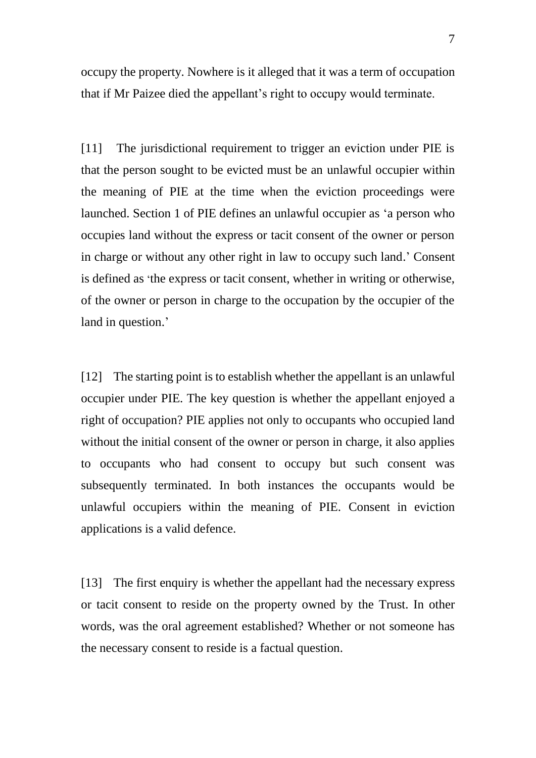occupy the property. Nowhere is it alleged that it was a term of occupation that if Mr Paizee died the appellant's right to occupy would terminate.

[11] The jurisdictional requirement to trigger an eviction under PIE is that the person sought to be evicted must be an unlawful occupier within the meaning of PIE at the time when the eviction proceedings were launched. Section 1 of PIE defines an unlawful occupier as 'a person who occupies land without the express or tacit consent of the owner or person in charge or without any other right in law to occupy such land.' Consent is defined as 'the express or tacit consent, whether in writing or otherwise, of the owner or person in charge to the occupation by the occupier of the land in question.'

[12] The starting point is to establish whether the appellant is an unlawful occupier under PIE. The key question is whether the appellant enjoyed a right of occupation? PIE applies not only to occupants who occupied land without the initial consent of the owner or person in charge, it also applies to occupants who had consent to occupy but such consent was subsequently terminated. In both instances the occupants would be unlawful occupiers within the meaning of PIE. Consent in eviction applications is a valid defence.

[13] The first enquiry is whether the appellant had the necessary express or tacit consent to reside on the property owned by the Trust. In other words, was the oral agreement established? Whether or not someone has the necessary consent to reside is a factual question.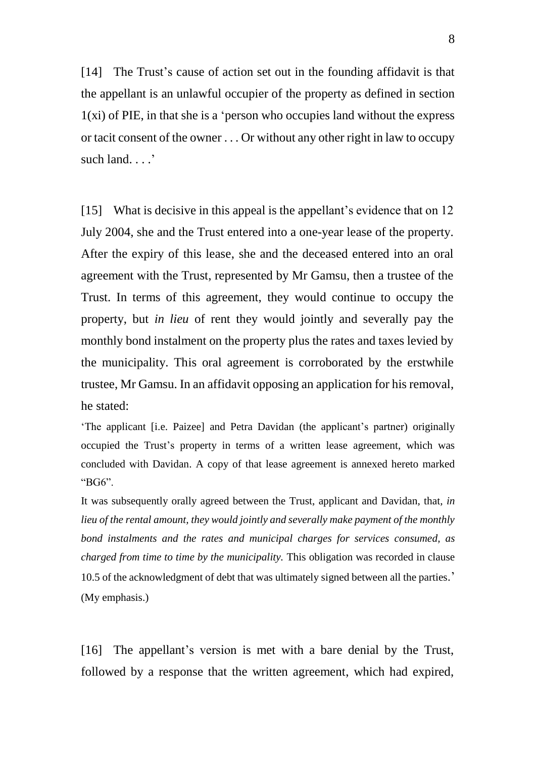[14] The Trust's cause of action set out in the founding affidavit is that the appellant is an unlawful occupier of the property as defined in section  $1(x)$  of PIE, in that she is a 'person who occupies land without the express or tacit consent of the owner . . . Or without any other right in law to occupy such land. . . .'

[15] What is decisive in this appeal is the appellant's evidence that on 12 July 2004, she and the Trust entered into a one-year lease of the property. After the expiry of this lease, she and the deceased entered into an oral agreement with the Trust, represented by Mr Gamsu, then a trustee of the Trust. In terms of this agreement, they would continue to occupy the property, but *in lieu* of rent they would jointly and severally pay the monthly bond instalment on the property plus the rates and taxes levied by the municipality. This oral agreement is corroborated by the erstwhile trustee, Mr Gamsu. In an affidavit opposing an application for his removal, he stated:

'The applicant [i.e. Paizee] and Petra Davidan (the applicant's partner) originally occupied the Trust's property in terms of a written lease agreement, which was concluded with Davidan. A copy of that lease agreement is annexed hereto marked "BG6".

It was subsequently orally agreed between the Trust, applicant and Davidan, that*, in lieu of the rental amount, they would jointly and severally make payment of the monthly bond instalments and the rates and municipal charges for services consumed, as charged from time to time by the municipality.* This obligation was recorded in clause 10.5 of the acknowledgment of debt that was ultimately signed between all the parties.' (My emphasis.)

[16] The appellant's version is met with a bare denial by the Trust, followed by a response that the written agreement, which had expired,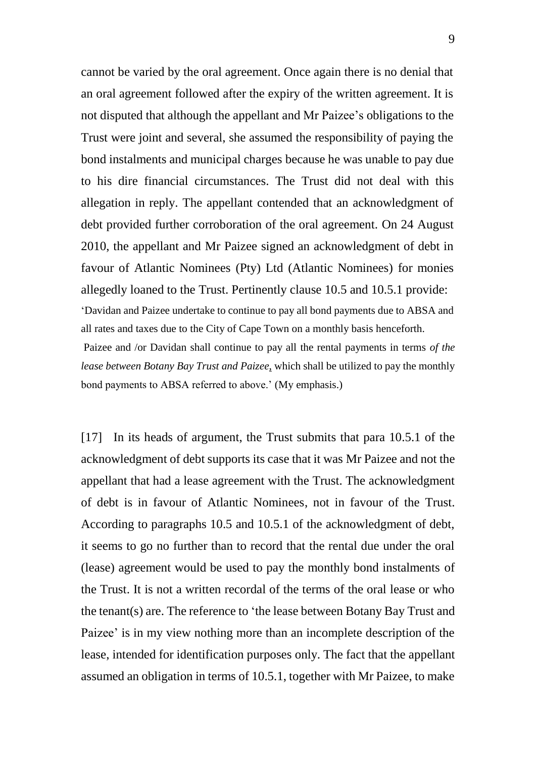cannot be varied by the oral agreement. Once again there is no denial that an oral agreement followed after the expiry of the written agreement. It is not disputed that although the appellant and Mr Paizee's obligations to the Trust were joint and several, she assumed the responsibility of paying the bond instalments and municipal charges because he was unable to pay due to his dire financial circumstances. The Trust did not deal with this allegation in reply. The appellant contended that an acknowledgment of debt provided further corroboration of the oral agreement. On 24 August 2010, the appellant and Mr Paizee signed an acknowledgment of debt in favour of Atlantic Nominees (Pty) Ltd (Atlantic Nominees) for monies allegedly loaned to the Trust. Pertinently clause 10.5 and 10.5.1 provide: 'Davidan and Paizee undertake to continue to pay all bond payments due to ABSA and all rates and taxes due to the City of Cape Town on a monthly basis henceforth. Paizee and /or Davidan shall continue to pay all the rental payments in terms *of the lease between Botany Bay Trust and Paizee*, which shall be utilized to pay the monthly bond payments to ABSA referred to above.' (My emphasis.)

[17] In its heads of argument, the Trust submits that para 10.5.1 of the acknowledgment of debt supports its case that it was Mr Paizee and not the appellant that had a lease agreement with the Trust. The acknowledgment of debt is in favour of Atlantic Nominees, not in favour of the Trust. According to paragraphs 10.5 and 10.5.1 of the acknowledgment of debt, it seems to go no further than to record that the rental due under the oral (lease) agreement would be used to pay the monthly bond instalments of the Trust. It is not a written recordal of the terms of the oral lease or who the tenant(s) are. The reference to 'the lease between Botany Bay Trust and Paizee' is in my view nothing more than an incomplete description of the lease, intended for identification purposes only. The fact that the appellant assumed an obligation in terms of 10.5.1, together with Mr Paizee, to make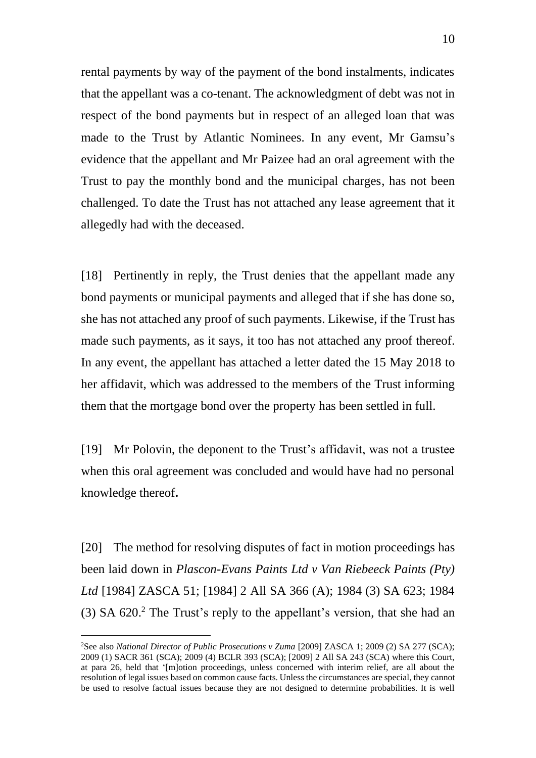rental payments by way of the payment of the bond instalments, indicates that the appellant was a co-tenant. The acknowledgment of debt was not in respect of the bond payments but in respect of an alleged loan that was made to the Trust by Atlantic Nominees. In any event, Mr Gamsu's evidence that the appellant and Mr Paizee had an oral agreement with the Trust to pay the monthly bond and the municipal charges, has not been challenged. To date the Trust has not attached any lease agreement that it allegedly had with the deceased.

[18] Pertinently in reply, the Trust denies that the appellant made any bond payments or municipal payments and alleged that if she has done so, she has not attached any proof of such payments. Likewise, if the Trust has made such payments, as it says, it too has not attached any proof thereof. In any event, the appellant has attached a letter dated the 15 May 2018 to her affidavit, which was addressed to the members of the Trust informing them that the mortgage bond over the property has been settled in full.

[19] Mr Polovin, the deponent to the Trust's affidavit, was not a trustee when this oral agreement was concluded and would have had no personal knowledge thereof**.** 

[20] The method for resolving disputes of fact in motion proceedings has been laid down in *Plascon-Evans Paints Ltd v Van Riebeeck Paints (Pty) Ltd* [1984] ZASCA 51; [1984] 2 All SA 366 (A); 1984 (3) SA 623; 1984 (3) SA 620. <sup>2</sup> The Trust's reply to the appellant's version, that she had an

<sup>&</sup>lt;sup>2</sup>See also *National Director of Public Prosecutions v Zuma* [2009] ZASCA 1; 2009 (2) SA 277 (SCA); 2009 (1) SACR 361 (SCA); 2009 (4) BCLR 393 (SCA); [2009] 2 All SA 243 (SCA) where this Court, at para 26, held that '[m]otion proceedings, unless concerned with interim relief, are all about the resolution of legal issues based on common cause facts. Unless the circumstances are special, they cannot be used to resolve factual issues because they are not designed to determine probabilities. It is well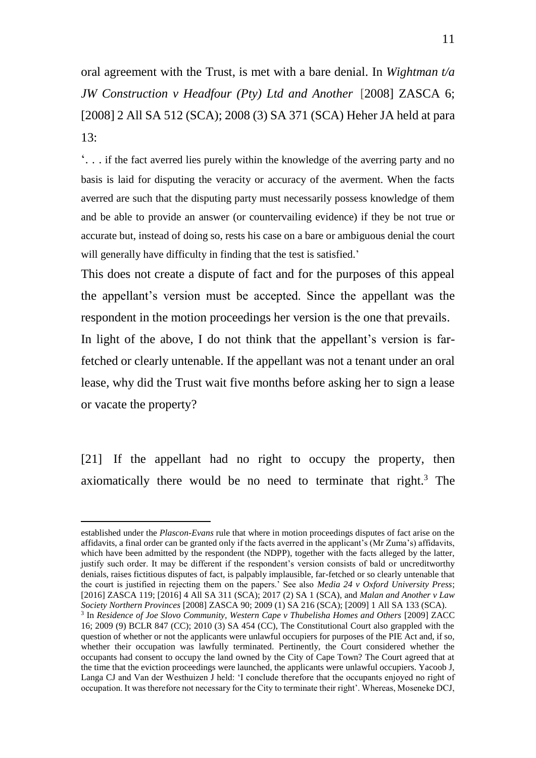oral agreement with the Trust, is met with a bare denial. In *Wightman t/a JW Construction v Headfour (Pty) Ltd and Another* [2008] ZASCA 6; [2008] 2 All SA 512 (SCA); 2008 (3) SA 371 (SCA) Heher JA held at para 13:

'. . . if the fact averred lies purely within the knowledge of the averring party and no basis is laid for disputing the veracity or accuracy of the averment. When the facts averred are such that the disputing party must necessarily possess knowledge of them and be able to provide an answer (or countervailing evidence) if they be not true or accurate but, instead of doing so, rests his case on a bare or ambiguous denial the court will generally have difficulty in finding that the test is satisfied.'

This does not create a dispute of fact and for the purposes of this appeal the appellant's version must be accepted. Since the appellant was the respondent in the motion proceedings her version is the one that prevails.

In light of the above, I do not think that the appellant's version is farfetched or clearly untenable. If the appellant was not a tenant under an oral lease, why did the Trust wait five months before asking her to sign a lease or vacate the property?

[21] If the appellant had no right to occupy the property, then axiomatically there would be no need to terminate that right.<sup>3</sup> The

established under the *Plascon-Evans* rule that where in motion proceedings disputes of fact arise on the affidavits, a final order can be granted only if the facts averred in the applicant's (Mr Zuma's) affidavits, which have been admitted by the respondent (the NDPP), together with the facts alleged by the latter, justify such order. It may be different if the respondent's version consists of bald or uncreditworthy denials, raises fictitious disputes of fact, is palpably implausible, far-fetched or so clearly untenable that the court is justified in rejecting them on the papers.' See also *Media 24 v Oxford University Press*; [2016] ZASCA 119; [2016] 4 All SA 311 (SCA); 2017 (2) SA 1 (SCA), and *Malan and Another v Law Society Northern Provinces* [2008] ZASCA 90; 2009 (1) SA 216 (SCA); [2009] 1 All SA 133 (SCA). <sup>3</sup> In *Residence of Joe Slovo Community, Western Cape v Thubelisha Homes and Others* [2009] ZACC 16; 2009 (9) BCLR 847 (CC); 2010 (3) SA 454 (CC), The Constitutional Court also grappled with the question of whether or not the applicants were unlawful occupiers for purposes of the PIE Act and, if so, whether their occupation was lawfully terminated. Pertinently, the Court considered whether the occupants had consent to occupy the land owned by the City of Cape Town? The Court agreed that at the time that the eviction proceedings were launched, the applicants were unlawful occupiers. Yacoob J, Langa CJ and Van der Westhuizen J held: 'I conclude therefore that the occupants enjoyed no right of occupation. It was therefore not necessary for the City to terminate their right'. Whereas, Moseneke DCJ,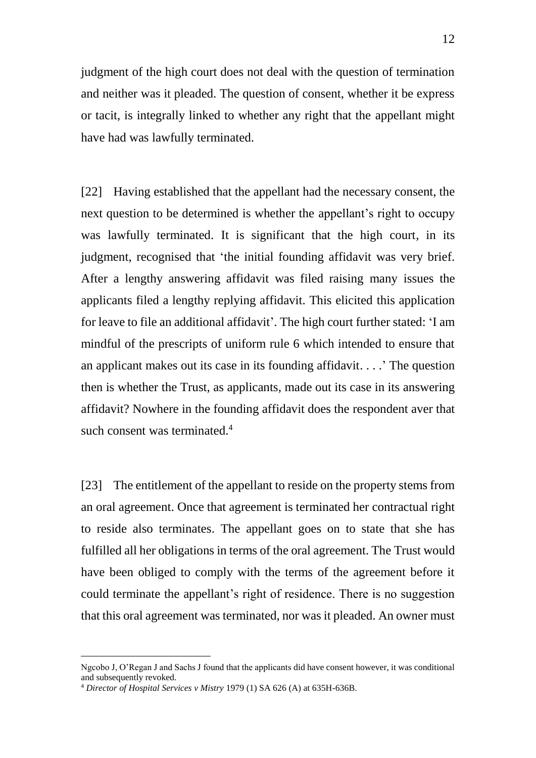judgment of the high court does not deal with the question of termination and neither was it pleaded. The question of consent, whether it be express or tacit, is integrally linked to whether any right that the appellant might have had was lawfully terminated.

[22] Having established that the appellant had the necessary consent, the next question to be determined is whether the appellant's right to occupy was lawfully terminated. It is significant that the high court, in its judgment, recognised that 'the initial founding affidavit was very brief. After a lengthy answering affidavit was filed raising many issues the applicants filed a lengthy replying affidavit. This elicited this application for leave to file an additional affidavit'. The high court further stated: 'I am mindful of the prescripts of uniform rule 6 which intended to ensure that an applicant makes out its case in its founding affidavit. . . .' The question then is whether the Trust, as applicants, made out its case in its answering affidavit? Nowhere in the founding affidavit does the respondent aver that such consent was terminated.<sup>4</sup>

[23] The entitlement of the appellant to reside on the property stems from an oral agreement. Once that agreement is terminated her contractual right to reside also terminates. The appellant goes on to state that she has fulfilled all her obligations in terms of the oral agreement. The Trust would have been obliged to comply with the terms of the agreement before it could terminate the appellant's right of residence. There is no suggestion that this oral agreement was terminated, nor was it pleaded. An owner must

Ngcobo J, O'Regan J and Sachs J found that the applicants did have consent however, it was conditional and subsequently revoked.

<sup>4</sup> *Director of Hospital Services v Mistry* 1979 (1) SA 626 (A) at 635H-636B.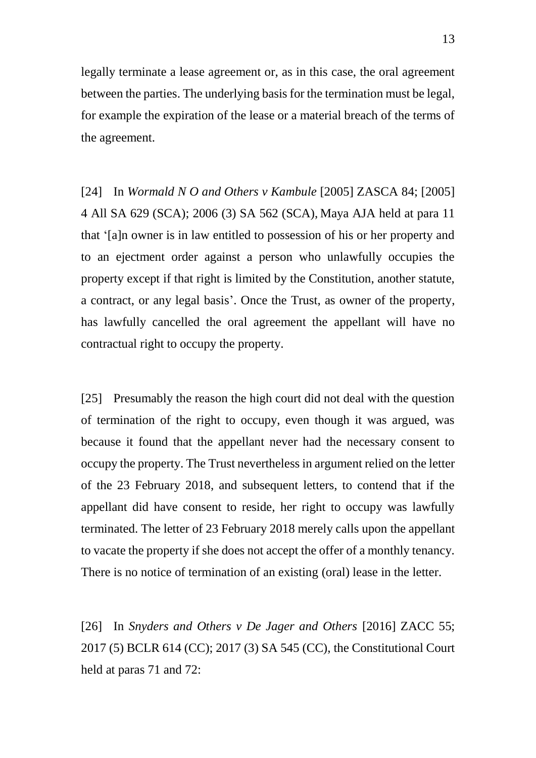legally terminate a lease agreement or, as in this case, the oral agreement between the parties. The underlying basis for the termination must be legal, for example the expiration of the lease or a material breach of the terms of the agreement.

[24] In *Wormald N O and Others v Kambule* [2005] ZASCA 84; [2005] 4 All SA 629 (SCA); 2006 (3) SA 562 (SCA), Maya AJA held at para 11 that '[a]n owner is in law entitled to possession of his or her property and to an ejectment order against a person who unlawfully occupies the property except if that right is limited by the Constitution, another statute, a contract, or any legal basis'. Once the Trust, as owner of the property, has lawfully cancelled the oral agreement the appellant will have no contractual right to occupy the property.

[25] Presumably the reason the high court did not deal with the question of termination of the right to occupy, even though it was argued, was because it found that the appellant never had the necessary consent to occupy the property. The Trust nevertheless in argument relied on the letter of the 23 February 2018, and subsequent letters, to contend that if the appellant did have consent to reside, her right to occupy was lawfully terminated. The letter of 23 February 2018 merely calls upon the appellant to vacate the property if she does not accept the offer of a monthly tenancy. There is no notice of termination of an existing (oral) lease in the letter.

[26] In *Snyders and Others v De Jager and Others* [2016] ZACC 55; 2017 (5) BCLR 614 (CC); 2017 (3) SA 545 (CC), the Constitutional Court held at paras 71 and 72: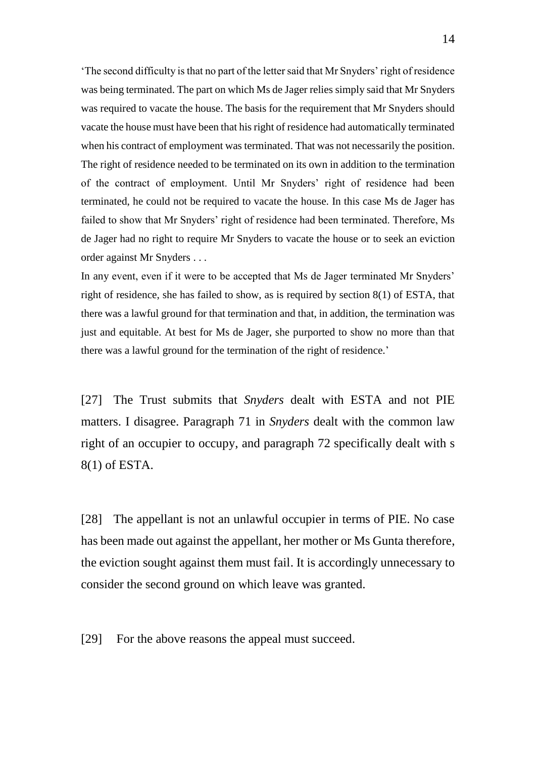'The second difficulty is that no part of the letter said that Mr Snyders' right of residence was being terminated. The part on which Ms de Jager relies simply said that Mr Snyders was required to vacate the house. The basis for the requirement that Mr Snyders should vacate the house must have been that his right of residence had automatically terminated when his contract of employment was terminated. That was not necessarily the position. The right of residence needed to be terminated on its own in addition to the termination of the contract of employment. Until Mr Snyders' right of residence had been terminated, he could not be required to vacate the house. In this case Ms de Jager has failed to show that Mr Snyders' right of residence had been terminated. Therefore, Ms de Jager had no right to require Mr Snyders to vacate the house or to seek an eviction order against Mr Snyders . . .

In any event, even if it were to be accepted that Ms de Jager terminated Mr Snyders' right of residence, she has failed to show, as is required by section 8(1) of ESTA, that there was a lawful ground for that termination and that, in addition, the termination was just and equitable. At best for Ms de Jager, she purported to show no more than that there was a lawful ground for the termination of the right of residence.'

[27] The Trust submits that *Snyders* dealt with ESTA and not PIE matters. I disagree. Paragraph 71 in *Snyders* dealt with the common law right of an occupier to occupy, and paragraph 72 specifically dealt with s 8(1) of ESTA.

[28] The appellant is not an unlawful occupier in terms of PIE. No case has been made out against the appellant, her mother or Ms Gunta therefore, the eviction sought against them must fail. It is accordingly unnecessary to consider the second ground on which leave was granted.

[29] For the above reasons the appeal must succeed.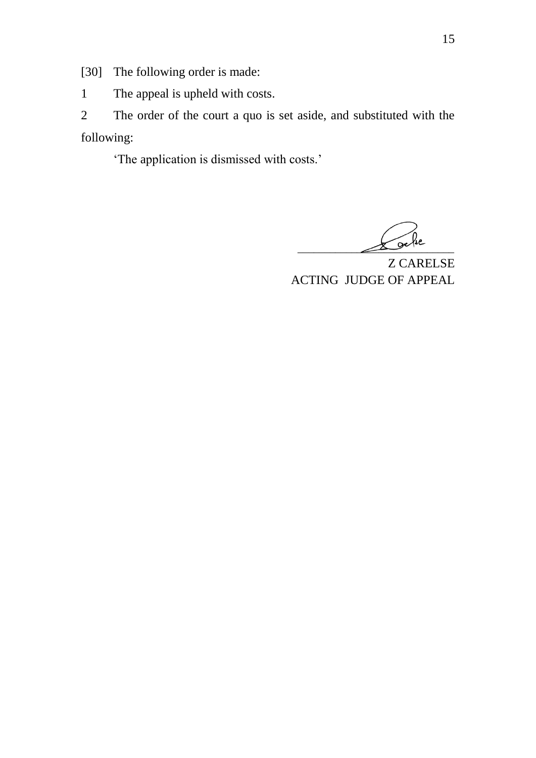[30] The following order is made:

1 The appeal is upheld with costs.

2 The order of the court a quo is set aside, and substituted with the following:

'The application is dismissed with costs.'

 $\Delta e^{i\omega}$ 

Z CARELSE ACTING JUDGE OF APPEAL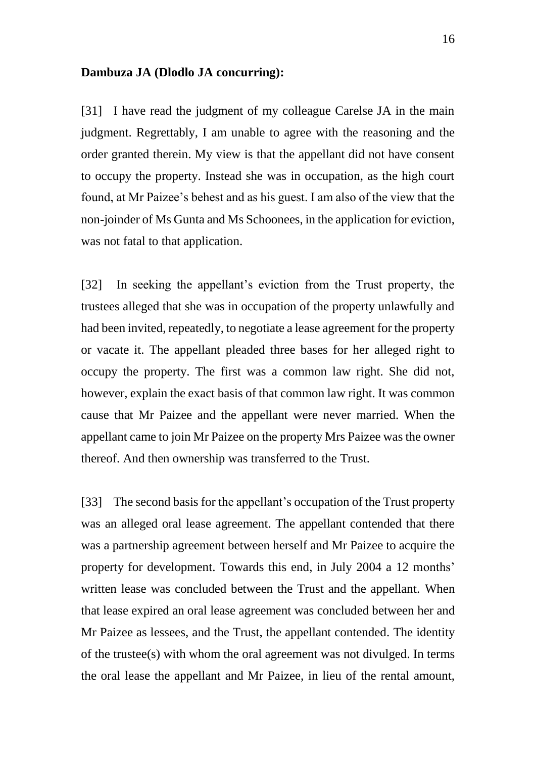#### **Dambuza JA (Dlodlo JA concurring):**

[31] I have read the judgment of my colleague Carelse JA in the main judgment. Regrettably, I am unable to agree with the reasoning and the order granted therein. My view is that the appellant did not have consent to occupy the property. Instead she was in occupation, as the high court found, at Mr Paizee's behest and as his guest. I am also of the view that the non-joinder of Ms Gunta and Ms Schoonees, in the application for eviction, was not fatal to that application.

[32] In seeking the appellant's eviction from the Trust property, the trustees alleged that she was in occupation of the property unlawfully and had been invited, repeatedly, to negotiate a lease agreement for the property or vacate it. The appellant pleaded three bases for her alleged right to occupy the property. The first was a common law right. She did not, however, explain the exact basis of that common law right. It was common cause that Mr Paizee and the appellant were never married. When the appellant came to join Mr Paizee on the property Mrs Paizee was the owner thereof. And then ownership was transferred to the Trust.

[33] The second basis for the appellant's occupation of the Trust property was an alleged oral lease agreement. The appellant contended that there was a partnership agreement between herself and Mr Paizee to acquire the property for development. Towards this end, in July 2004 a 12 months' written lease was concluded between the Trust and the appellant. When that lease expired an oral lease agreement was concluded between her and Mr Paizee as lessees, and the Trust, the appellant contended. The identity of the trustee(s) with whom the oral agreement was not divulged. In terms the oral lease the appellant and Mr Paizee, in lieu of the rental amount,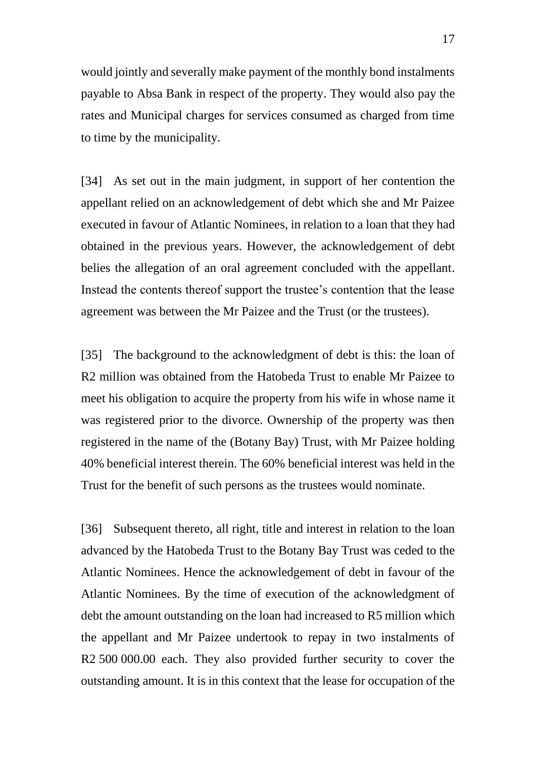would jointly and severally make payment of the monthly bond instalments payable to Absa Bank in respect of the property. They would also pay the rates and Municipal charges for services consumed as charged from time to time by the municipality.

[34] As set out in the main judgment, in support of her contention the appellant relied on an acknowledgement of debt which she and Mr Paizee executed in favour of Atlantic Nominees, in relation to a loan that they had obtained in the previous years. However, the acknowledgement of debt belies the allegation of an oral agreement concluded with the appellant. Instead the contents thereof support the trustee's contention that the lease agreement was between the Mr Paizee and the Trust (or the trustees).

[35] The background to the acknowledgment of debt is this: the loan of R2 million was obtained from the Hatobeda Trust to enable Mr Paizee to meet his obligation to acquire the property from his wife in whose name it was registered prior to the divorce. Ownership of the property was then registered in the name of the (Botany Bay) Trust, with Mr Paizee holding 40% beneficial interest therein. The 60% beneficial interest was held in the Trust for the benefit of such persons as the trustees would nominate.

[36] Subsequent thereto, all right, title and interest in relation to the loan advanced by the Hatobeda Trust to the Botany Bay Trust was ceded to the Atlantic Nominees. Hence the acknowledgement of debt in favour of the Atlantic Nominees. By the time of execution of the acknowledgment of debt the amount outstanding on the loan had increased to R5 million which the appellant and Mr Paizee undertook to repay in two instalments of R2 500 000.00 each. They also provided further security to cover the outstanding amount. It is in this context that the lease for occupation of the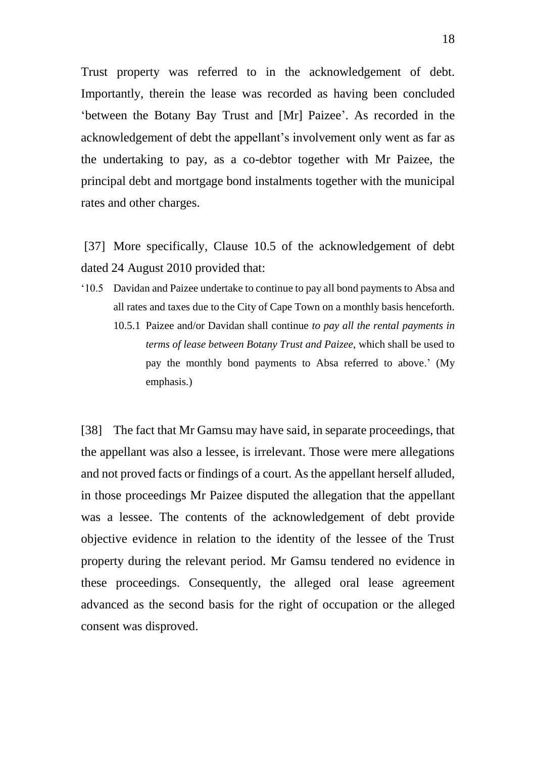Trust property was referred to in the acknowledgement of debt. Importantly, therein the lease was recorded as having been concluded 'between the Botany Bay Trust and [Mr] Paizee'. As recorded in the acknowledgement of debt the appellant's involvement only went as far as the undertaking to pay, as a co-debtor together with Mr Paizee, the principal debt and mortgage bond instalments together with the municipal rates and other charges.

[37] More specifically, Clause 10.5 of the acknowledgement of debt dated 24 August 2010 provided that:

- '10.5 Davidan and Paizee undertake to continue to pay all bond payments to Absa and all rates and taxes due to the City of Cape Town on a monthly basis henceforth.
	- 10.5.1 Paizee and/or Davidan shall continue *to pay all the rental payments in terms of lease between Botany Trust and Paizee*, which shall be used to pay the monthly bond payments to Absa referred to above.' (My emphasis.)

[38] The fact that Mr Gamsu may have said, in separate proceedings, that the appellant was also a lessee, is irrelevant. Those were mere allegations and not proved facts or findings of a court. As the appellant herself alluded, in those proceedings Mr Paizee disputed the allegation that the appellant was a lessee. The contents of the acknowledgement of debt provide objective evidence in relation to the identity of the lessee of the Trust property during the relevant period. Mr Gamsu tendered no evidence in these proceedings. Consequently, the alleged oral lease agreement advanced as the second basis for the right of occupation or the alleged consent was disproved.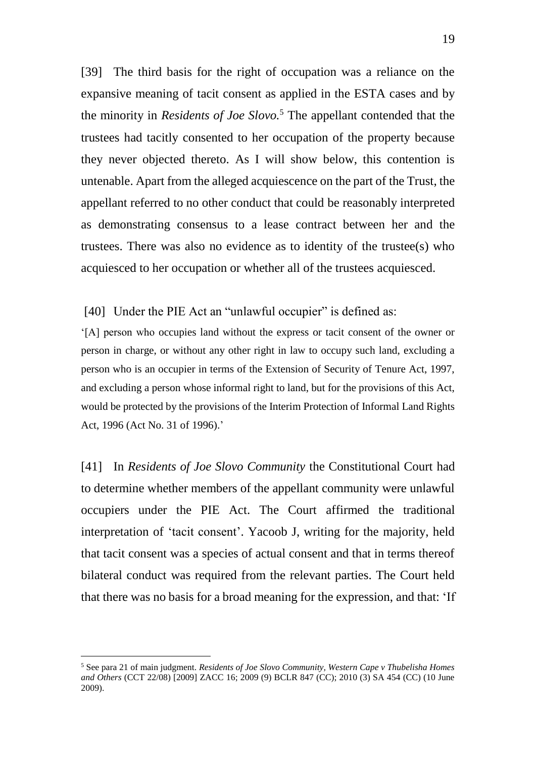[39] The third basis for the right of occupation was a reliance on the expansive meaning of tacit consent as applied in the ESTA cases and by the minority in *Residents of Joe Slovo.*<sup>5</sup> The appellant contended that the trustees had tacitly consented to her occupation of the property because they never objected thereto. As I will show below, this contention is untenable. Apart from the alleged acquiescence on the part of the Trust, the appellant referred to no other conduct that could be reasonably interpreted as demonstrating consensus to a lease contract between her and the trustees. There was also no evidence as to identity of the trustee(s) who acquiesced to her occupation or whether all of the trustees acquiesced.

[40] Under the PIE Act an "unlawful occupier" is defined as:

'[A] person who occupies land without the express or tacit consent of the owner or person in charge, or without any other right in law to occupy such land, excluding a person who is an occupier in terms of the Extension of Security of Tenure Act, 1997, and excluding a person whose informal right to land, but for the provisions of this Act, would be protected by the provisions of the Interim Protection of Informal Land Rights Act, 1996 (Act No. 31 of 1996).'

[41] In *Residents of Joe Slovo Community* the Constitutional Court had to determine whether members of the appellant community were unlawful occupiers under the PIE Act. The Court affirmed the traditional interpretation of 'tacit consent'. Yacoob J, writing for the majority, held that tacit consent was a species of actual consent and that in terms thereof bilateral conduct was required from the relevant parties. The Court held that there was no basis for a broad meaning for the expression, and that: 'If

<sup>5</sup> See para 21 of main judgment. *Residents of Joe Slovo Community, Western Cape v Thubelisha Homes and Others* (CCT 22/08) [2009] ZACC 16; 2009 (9) BCLR 847 (CC); 2010 (3) SA 454 (CC) (10 June 2009).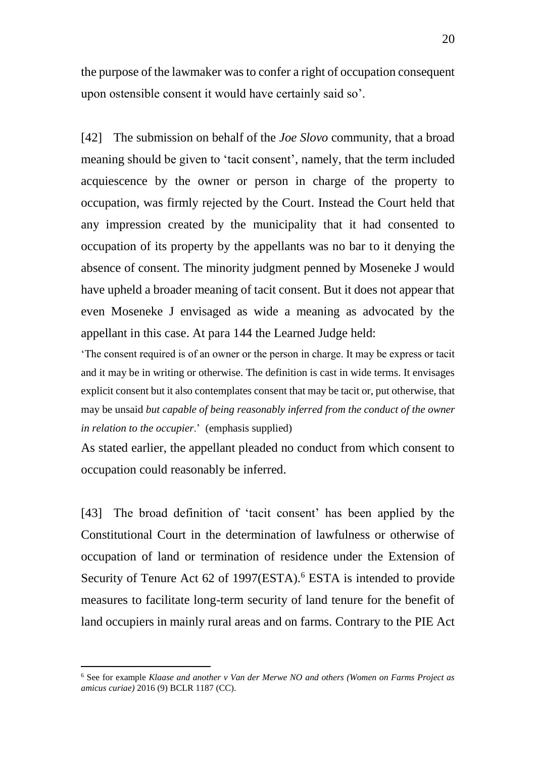the purpose of the lawmaker was to confer a right of occupation consequent upon ostensible consent it would have certainly said so'.

[42] The submission on behalf of the *Joe Slovo* community, that a broad meaning should be given to 'tacit consent', namely, that the term included acquiescence by the owner or person in charge of the property to occupation, was firmly rejected by the Court. Instead the Court held that any impression created by the municipality that it had consented to occupation of its property by the appellants was no bar to it denying the absence of consent. The minority judgment penned by Moseneke J would have upheld a broader meaning of tacit consent. But it does not appear that even Moseneke J envisaged as wide a meaning as advocated by the appellant in this case. At para 144 the Learned Judge held:

'The consent required is of an owner or the person in charge. It may be express or tacit and it may be in writing or otherwise. The definition is cast in wide terms. It envisages explicit consent but it also contemplates consent that may be tacit or, put otherwise, that may be unsaid *but capable of being reasonably inferred from the conduct of the owner in relation to the occupier*.' (emphasis supplied)

As stated earlier, the appellant pleaded no conduct from which consent to occupation could reasonably be inferred.

[43] The broad definition of 'tacit consent' has been applied by the Constitutional Court in the determination of lawfulness or otherwise of occupation of land or termination of residence under the Extension of Security of Tenure Act 62 of 1997(ESTA).<sup>6</sup> ESTA is intended to provide measures to facilitate long-term security of land tenure for the benefit of land occupiers in mainly rural areas and on farms. Contrary to the PIE Act

<sup>6</sup> See for example *Klaase and another v Van der Merwe NO and others (Women on Farms Project as amicus curiae)* 2016 (9) BCLR 1187 (CC).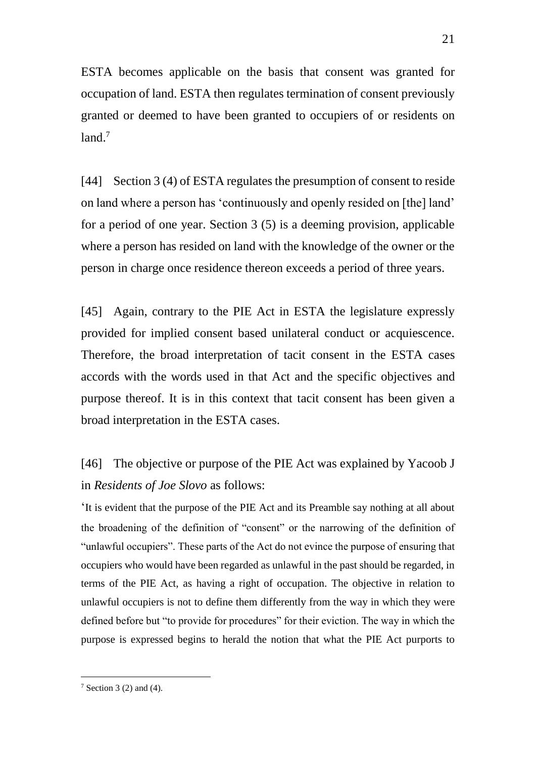ESTA becomes applicable on the basis that consent was granted for occupation of land. ESTA then regulates termination of consent previously granted or deemed to have been granted to occupiers of or residents on  $land.<sup>7</sup>$ 

[44] Section 3 (4) of ESTA regulates the presumption of consent to reside on land where a person has 'continuously and openly resided on [the] land' for a period of one year. Section 3 (5) is a deeming provision, applicable where a person has resided on land with the knowledge of the owner or the person in charge once residence thereon exceeds a period of three years.

[45] Again, contrary to the PIE Act in ESTA the legislature expressly provided for implied consent based unilateral conduct or acquiescence. Therefore, the broad interpretation of tacit consent in the ESTA cases accords with the words used in that Act and the specific objectives and purpose thereof. It is in this context that tacit consent has been given a broad interpretation in the ESTA cases.

[46] The objective or purpose of the PIE Act was explained by Yacoob J in *Residents of Joe Slovo* as follows:

'It is evident that the purpose of the PIE Act and its Preamble say nothing at all about the broadening of the definition of "consent" or the narrowing of the definition of "unlawful occupiers". These parts of the Act do not evince the purpose of ensuring that occupiers who would have been regarded as unlawful in the past should be regarded, in terms of the PIE Act, as having a right of occupation. The objective in relation to unlawful occupiers is not to define them differently from the way in which they were defined before but "to provide for procedures" for their eviction. The way in which the purpose is expressed begins to herald the notion that what the PIE Act purports to

-

 $7$  Section 3 (2) and (4).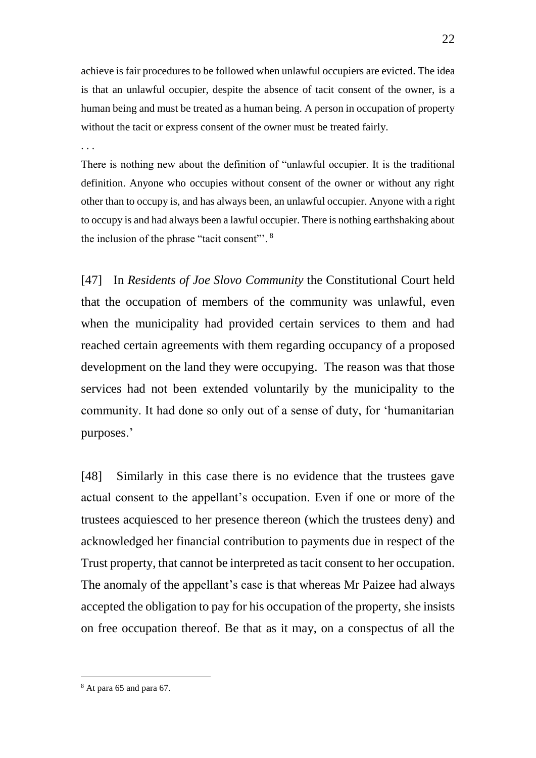achieve is fair procedures to be followed when unlawful occupiers are evicted. The idea is that an unlawful occupier, despite the absence of tacit consent of the owner, is a human being and must be treated as a human being. A person in occupation of property without the tacit or express consent of the owner must be treated fairly.

. . .

There is nothing new about the definition of "unlawful occupier. It is the traditional definition. Anyone who occupies without consent of the owner or without any right other than to occupy is, and has always been, an unlawful occupier. Anyone with a right to occupy is and had always been a lawful occupier. There is nothing earthshaking about the inclusion of the phrase "tacit consent"'. <sup>8</sup>

[47] In *Residents of Joe Slovo Community* the Constitutional Court held that the occupation of members of the community was unlawful, even when the municipality had provided certain services to them and had reached certain agreements with them regarding occupancy of a proposed development on the land they were occupying. The reason was that those services had not been extended voluntarily by the municipality to the community. It had done so only out of a sense of duty, for 'humanitarian purposes.'

[48] Similarly in this case there is no evidence that the trustees gave actual consent to the appellant's occupation. Even if one or more of the trustees acquiesced to her presence thereon (which the trustees deny) and acknowledged her financial contribution to payments due in respect of the Trust property, that cannot be interpreted as tacit consent to her occupation. The anomaly of the appellant's case is that whereas Mr Paizee had always accepted the obligation to pay for his occupation of the property, she insists on free occupation thereof. Be that as it may, on a conspectus of all the

-

<sup>8</sup> At para 65 and para 67.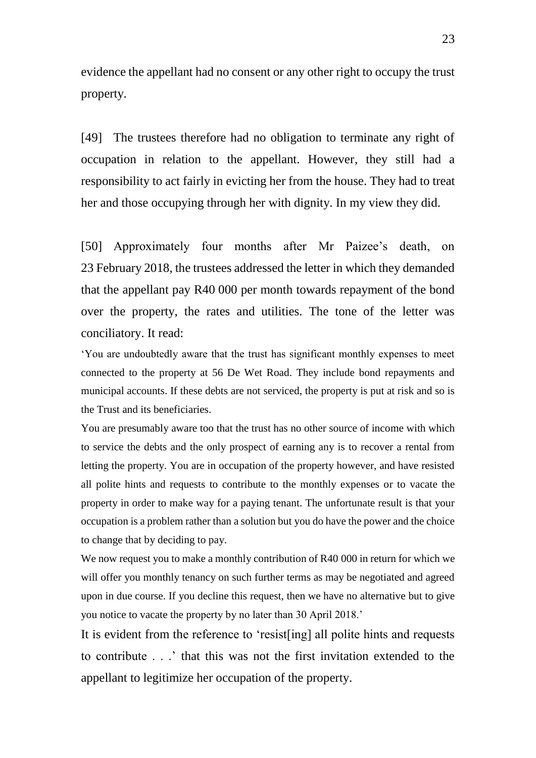evidence the appellant had no consent or any other right to occupy the trust property.

[49] The trustees therefore had no obligation to terminate any right of occupation in relation to the appellant. However, they still had a responsibility to act fairly in evicting her from the house. They had to treat her and those occupying through her with dignity. In my view they did.

[50] Approximately four months after Mr Paizee's death, on 23 February 2018, the trustees addressed the letter in which they demanded that the appellant pay R40 000 per month towards repayment of the bond over the property, the rates and utilities. The tone of the letter was conciliatory. It read:

'You are undoubtedly aware that the trust has significant monthly expenses to meet connected to the property at 56 De Wet Road. They include bond repayments and municipal accounts. If these debts are not serviced, the property is put at risk and so is the Trust and its beneficiaries.

You are presumably aware too that the trust has no other source of income with which to service the debts and the only prospect of earning any is to recover a rental from letting the property. You are in occupation of the property however, and have resisted all polite hints and requests to contribute to the monthly expenses or to vacate the property in order to make way for a paying tenant. The unfortunate result is that your occupation is a problem rather than a solution but you do have the power and the choice to change that by deciding to pay.

We now request you to make a monthly contribution of R40 000 in return for which we will offer you monthly tenancy on such further terms as may be negotiated and agreed upon in due course. If you decline this request, then we have no alternative but to give you notice to vacate the property by no later than 30 April 2018.'

It is evident from the reference to 'resist[ing] all polite hints and requests to contribute . . .' that this was not the first invitation extended to the appellant to legitimize her occupation of the property.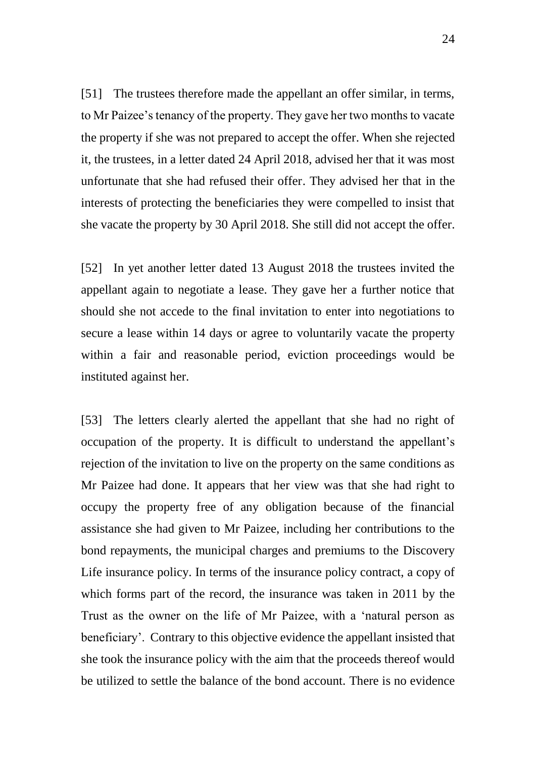[51] The trustees therefore made the appellant an offer similar, in terms, to Mr Paizee's tenancy of the property. They gave her two months to vacate the property if she was not prepared to accept the offer. When she rejected it, the trustees, in a letter dated 24 April 2018, advised her that it was most unfortunate that she had refused their offer. They advised her that in the interests of protecting the beneficiaries they were compelled to insist that she vacate the property by 30 April 2018. She still did not accept the offer.

[52] In yet another letter dated 13 August 2018 the trustees invited the appellant again to negotiate a lease. They gave her a further notice that should she not accede to the final invitation to enter into negotiations to secure a lease within 14 days or agree to voluntarily vacate the property within a fair and reasonable period, eviction proceedings would be instituted against her.

[53] The letters clearly alerted the appellant that she had no right of occupation of the property. It is difficult to understand the appellant's rejection of the invitation to live on the property on the same conditions as Mr Paizee had done. It appears that her view was that she had right to occupy the property free of any obligation because of the financial assistance she had given to Mr Paizee, including her contributions to the bond repayments, the municipal charges and premiums to the Discovery Life insurance policy. In terms of the insurance policy contract, a copy of which forms part of the record, the insurance was taken in 2011 by the Trust as the owner on the life of Mr Paizee, with a 'natural person as beneficiary'. Contrary to this objective evidence the appellant insisted that she took the insurance policy with the aim that the proceeds thereof would be utilized to settle the balance of the bond account. There is no evidence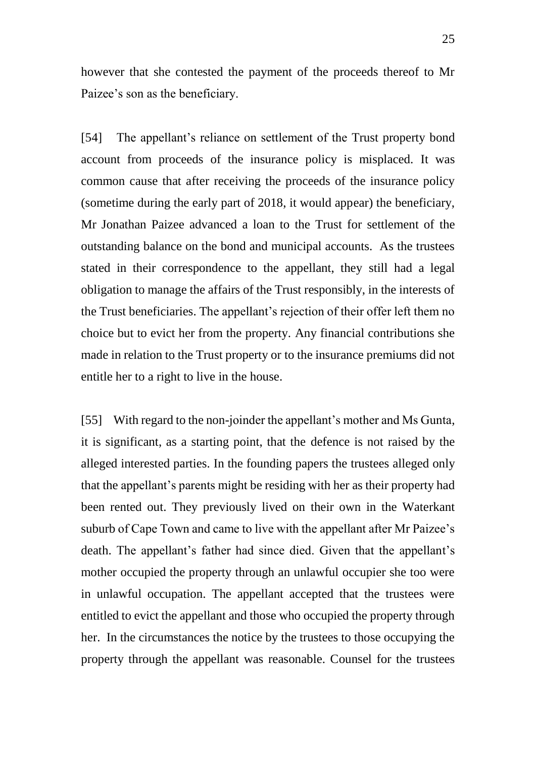however that she contested the payment of the proceeds thereof to Mr Paizee's son as the beneficiary.

[54] The appellant's reliance on settlement of the Trust property bond account from proceeds of the insurance policy is misplaced. It was common cause that after receiving the proceeds of the insurance policy (sometime during the early part of 2018, it would appear) the beneficiary, Mr Jonathan Paizee advanced a loan to the Trust for settlement of the outstanding balance on the bond and municipal accounts. As the trustees stated in their correspondence to the appellant, they still had a legal obligation to manage the affairs of the Trust responsibly, in the interests of the Trust beneficiaries. The appellant's rejection of their offer left them no choice but to evict her from the property. Any financial contributions she made in relation to the Trust property or to the insurance premiums did not entitle her to a right to live in the house.

[55] With regard to the non-joinder the appellant's mother and Ms Gunta, it is significant, as a starting point, that the defence is not raised by the alleged interested parties. In the founding papers the trustees alleged only that the appellant's parents might be residing with her as their property had been rented out. They previously lived on their own in the Waterkant suburb of Cape Town and came to live with the appellant after Mr Paizee's death. The appellant's father had since died. Given that the appellant's mother occupied the property through an unlawful occupier she too were in unlawful occupation. The appellant accepted that the trustees were entitled to evict the appellant and those who occupied the property through her. In the circumstances the notice by the trustees to those occupying the property through the appellant was reasonable. Counsel for the trustees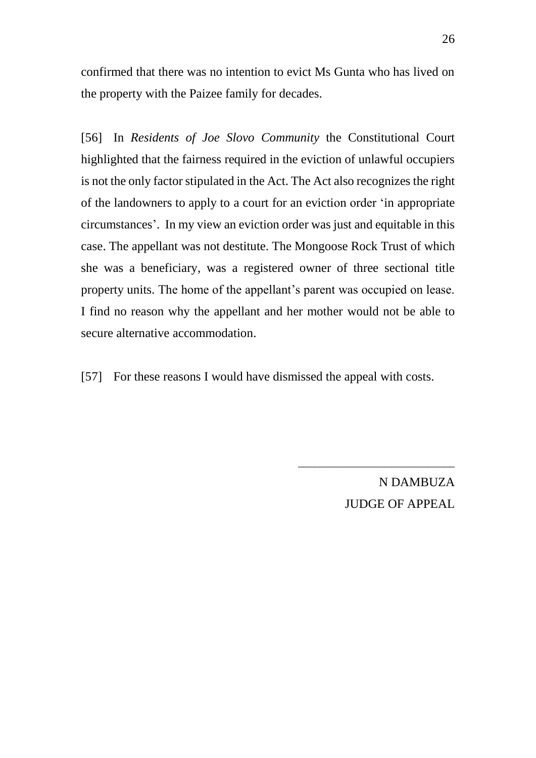confirmed that there was no intention to evict Ms Gunta who has lived on the property with the Paizee family for decades.

[56] In *Residents of Joe Slovo Community* the Constitutional Court highlighted that the fairness required in the eviction of unlawful occupiers is not the only factor stipulated in the Act. The Act also recognizes the right of the landowners to apply to a court for an eviction order 'in appropriate circumstances'. In my view an eviction order was just and equitable in this case. The appellant was not destitute. The Mongoose Rock Trust of which she was a beneficiary, was a registered owner of three sectional title property units. The home of the appellant's parent was occupied on lease. I find no reason why the appellant and her mother would not be able to secure alternative accommodation.

[57] For these reasons I would have dismissed the appeal with costs.

N DAMBUZA JUDGE OF APPEAL

\_\_\_\_\_\_\_\_\_\_\_\_\_\_\_\_\_\_\_\_\_\_\_\_\_\_\_\_\_